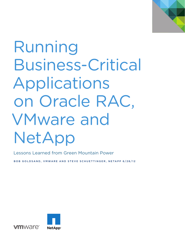

# Running Business-Critical Applications on Oracle RAC, VMware and NetApp

Lessons Learned from Green Mountain Power

BOB GOLDSAND, VMWARE AND STEVE SCHUETTINGER, NETAPP 6/28/12



mware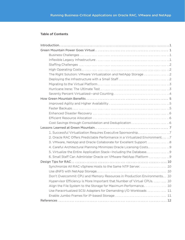#### Table of Contents

| The Right Solution: VMware Virtualization and NetApp Storage 2               |
|------------------------------------------------------------------------------|
|                                                                              |
|                                                                              |
|                                                                              |
|                                                                              |
|                                                                              |
|                                                                              |
|                                                                              |
|                                                                              |
|                                                                              |
|                                                                              |
|                                                                              |
|                                                                              |
| 2. Oracle RAC Offers Predictable Performance in a Virtualized Environment. 7 |
| 3. VMware, NetApp and Oracle Collaborate for Excellent Support 8             |
| 4. Careful Architectural Planning Minimizes Oracle Licensing Costs 9         |
| 5. Virtualize the Entire Application Stack-Including the Database9           |
| 6. Small Staff Can Administer Oracle on VMware-NetApp Platform 9             |
|                                                                              |
| Synchronize All RAC vSphere Hosts to the Same NTP Server. 10                 |
|                                                                              |
| Don't Overcommit CPU and Memory Resources in Production Environments .10     |
| Hypervisor Efficiency is More Important that Number of Virtual CPUs. 10      |
| Align the File System to the Storage for Maximum Performance10               |
| Use Paravirtualized SCSI Adapters for Demanding I/O Workloads  11            |
|                                                                              |
|                                                                              |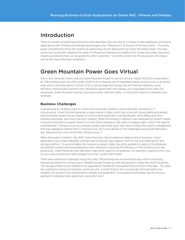## Introduction

There is a wealth of published information that describes how and why to virtualize Oracle databases and Oracle applications with VMware and NetApp technologies (see "References" at the end of the document). This white paper complements those documents by examining a recent deployment at Green Mountain Power. This realworld case study both validates the value of VMware and NetApp as a platform for Oracle and yields important insights and lessons that can be applied to other customers. To set the context for this discussion, let's take a look at the Green Mountain installation.

## Green Mountain Power Goes Virtual

One in four Vermont homes relies on Green Mountain Power for electric service—about 100,000 households in all. The hundred-year-old utility prides itself on its increasing use of renewable energy sources such as wind and solar and is investing heavily in Smart Grid, a cutting-edge technology that will improve reliability, boost efficiency, and provide customer with information about their own energy use. A regulated utility with 250 employees, Green Mountain recently acquired another Vermont utility—a move that tripled its customers and revenues.

#### **Business Challenges**

In developing its strategic plans for Smart Grid and other initiatives, Green Mountain assessed its IT infrastructure. Smart Grid will generate a large volume of data, which has to be both stored safely and reliably and processed rapidly and accurately to control power generation and distribution, drive billing and other business processes, and inform decision-making. While the existing IT platform was adequate for present needs, it would not be able to support Smart Grid and other initiatives in the utility's strategic plans. Add in the need to assimilate the IT infrastructure of a company larger than itself, and it was clear to Green Mountain's management that they needed to rethink their IT infrastructure. (For more details on the challenges facing Green Mountain, see "Reaching the Limits of the RISC Infrastructure.")

When the project started in late 2010, Green Mountain had an extensive deployment of business-critical applications and Oracle database software and a relatively lean support staff for the associated server and storage platform. To accommodate the massive increase in data, the utility wanted to scale out the database and platform while minimizing operating costs; therefore, improving the efficiency of the infrastructure was paramount. Green Mountain also planned to take other steps to cut expenses, for example, migrating from Unix to Linux and converting to NAS storage from their current SAN model.

There were additional challenges facing the utility. Provisioning new environments was a time-consuming, manual procedure that simply wasn't flexible enough to keep up with the growth in Green Mountain's business. The storage infrastructure needed to be upgraded to handle the anticipated flood of Smart Grid data. The utility also wanted to improve its business continuity plan, a smart thing to do in a place like Vermont where the weather can be harsh and unforgiving on people and equipment. Virtualization technology was the obvious approach to achieve these objectives—but which one?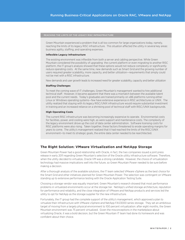Green Mountain experienced a problem that is all too common for large organizations today, namely, reaching the limits of its legacy RISC infrastructure. This situation affected the utility in several key areas: business agility, staffing, and operating expenses.

#### **Inflexible Legacy Infrastructure**

The existing environment was inflexible from both a server and cabling perspective. While Green Mountain considered the possibility of upgrading the current platform or even migrating to another RISC platform, the IT group's analysis showed that these options would not reduce complexity or significantly reduce operating costs. At the same time, new demands such as Smart Grid and the growing number of users required greater scalability, more capacity, and better utilization—requirements that simply could not be met with a RISC infrastructure.

New demands and user growth leads to increased need for greater scalability, capacity and better utilization

#### **Staffing Challenges**

To meet the coming wave of IT challenges, Green Mountain's management wanted to hire additional technical staff. However, it became apparent that there was a mismatch between the available talent pool and the current needs. Today's graduates are trained primarily on x86 platforms running either Linux or Windows operating systems—few have extensive experience in RISC architectures or UNIX. The utility realized that staying with its legacy RISC/UNIX infrastructure would require substantial investment in training and an increased reliance on a shrinking pool of technical staff with RISC/UNIX backgrounds.

#### **High Operating Costs**

The current RISC infrastructure was becoming increasingly expensive to operate. Environmental costs for facilities, power, and cooling were high, as were support and maintenance costs. The complexity of the legacy environment drove up the cost of data center administration. Software licensing costs for RISC platforms were also rising. Taken together, these factors threatened to erode operating margins for years to come. The utility's management realized that it had reached the limits of the RISC/UNIX environment—to meet its strategic goals, the entire data center needed to be rearchitected.

#### **The Right Solution: VMware Virtualization and NetApp Storage**

Green Mountain Power had a good relationship with Oracle, in fact, the two companies issued a joint press release in early 2011 regarding Green Mountain's selection of the Oracle utility infrastructure software. Therefore, when the utility decided to virtualize, Oracle VM was a strong candidate. However, the choice of virtualization technology had massive implications well into the future, so Green Mountain Power needed to be sure before making a decision.

After a thorough analysis of the available solutions, the IT team selected VMware vSphere as the best choice for the Smart Grid and other initiatives planned for Green Mountain Power. The selection was contingent on VMware standing up to extensive performance testing with the Oracle Application Testing Suite.

Choosing a storage vendor was equally important. Green Mountain's research showed that most performance problems in virtualized environments occur at the storage tier. NetApp's unified storage architecture, reputation for performance and reliability, and the close integration of VMware and NetApp products and services led the utility to opt for NetApp as the storage supplier for the new infrastructure.

Fortunately, the IT group had the complete support of the utility's management, which approved a plan to virtualize their infrastructure with VMware vSphere and NetApp FAS3000 series storage. They set an ambitious target of moving from a largely physical environment to 100 percent virtualization: after eight months, the Green Mountain environment was 75 percent virtualized. Given the misconceptions in the marketplace about virtualizing Oracle, it was a bold decision, but the Green Mountain IT team had done its homework and was confident about their choice.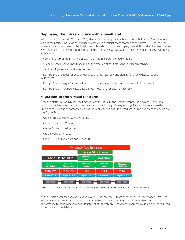#### **Deploying the Infrastructure with a Small Staff**

When the project kicked off in early 2011, VMware and NetApp met with all the stakeholders at Green Mountain team in the project, including the virtual infrastructure administrators, storage administrators, DBAs, and the network team, to secure organizational buy-in. Two Green Mountain employees—a DBA and a VI administrator were assigned to deploy the entire infrastructure. This lean staff was able to meet their deadlines by leveraging tools such as:

- vSphere host profiles: Brings up virtual machines in minutes instead of hours
- • vSphere templates: Recipes that simplify the creation of multiple identical virtual machines
- vMotion: Migrates live databases between hosts

• NetApp SnapManager for Oracle: Manages backup, recovery, and cloning for Oracle databases and middleware

- NetApp SnapManager for Virtual Infrastructure: Manages backup and recovery of virtual machines
- NetApp SnapMirror: Replicates data between locations for disaster recovery

#### **Migrating to the Virtual Platform**

Once the platform was in place, the first task was to virtualize the Oracle database deployment—eight RAC databases each running two instances over Automatic Storage Management (ASM), an Oracle feature that simplifies the storage of database files. As the year went on, they migrated other Oracle applications including (see Figure 1):

- Oracle Utility Customer Care and Billing
- • Oracle Meter Data Management
- • Oracle Business Intelligence
- • Oracle WebCenter Suite
- Oracle Fusion Middleware and Service Bus



**Figure 1.** Oracle applications and databases run on a virtualized environment of vSphere software and NetApp storage systems.

As the Oracle databases and applications were virtualized, the IT team conducted user acceptance tests. The results were impressive: users didn't even realize that they were running on a different platform. These and other performance tests convinced Green Mountain that the VMware-NetApp environment could deliver the required performance and reliability.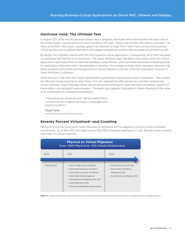#### **Hurricane Irene: The Ultimate Test**

In August 2011, while the virtualization project was in progress, Hurricane Irene slammed into the east coast of the United States, causing Vermont's worst flooding in 83 years. Nearly half of Green Mountain's customers—as many as 50,000—lost power, causing support call volumes to triple. The IT team had to ensure that businesscritical services such as global information and outage management systems were available and performing well.

By design, the migration started with the most business-critical applications, consequently, all of them had been virtualized by the time the hurricane struck. The Green Mountain team decided to shut down some non-critical applications and move others to alternate hardware using vMotion, which provided additional computing power for applications that were vital to the emergency response. The strategy worked: storm managers reported that those programs performed well throughout the crisis and played a vital role in the fast restoration of power to Green Mountain's customers.

When the storm was over, the IT team had problems getting four physical hosts back in operation. They moved the affected virtual machines to other hosts—15 in all—repaired the affected servers, and then restored the virtual machines. Green Mountain Power service personnel continued to work and were completely unaware of the problem—no complaints were received. This event was a graphic illustration to Green Mountain of the value of its investment in a virtualized environment.

"Physical versus virtual servers? We recovered those 15 virtual servers in about two hours—impossible with physical systems."

Paula Fortin Senior Enterprise Systems Administrator

#### **Seventy Percent Virtualized—and Counting**

Having survived Hurricane Irene, Green Mountain is continuing with its aggressive move to a fully virtualized environment. As of May 2012, the utility is more than 70% virtualized (see Figure 2), with 36 host servers running more than 125 virtual machines.



Figure 2. By the end of 2012, Green Mountain plans to have its entire Oracle environment running on a virtualized VMware-NetApp platform.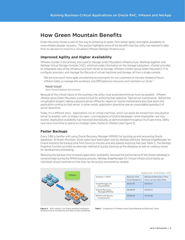## How Green Mountain Benefits

Green Mountain Power is well on the way to achieving its goals, from better agility and higher availability to more reliable disaster recovery. This section highlights some of the benefits that the utility has realized to date from its decision to move to a virtualized VMware-NetApp infrastructure.

#### **Improved Agility and Higher Availability**

VMware vCenter is the primary tool used to manage Green Mountain's infrastructure. Working together with NetApp Virtual Storage Console (VSC), which provides information on the storage subsystem, vCenter provides an integrated view of the infrastructure from server to storage. VMware vCenter allows Green Mountain's IT to configure, provision, and manage the lifecycle of virtual machines and storage, all from a single console.

"We are now much more agile, provisioning environments for our customers in minutes instead of hours. vMotion helps us manage the workload, and DRS balances resources and maintains our SLAs."

#### Nayab Saiyad

Senior Oracle Database Administrator

Because of the critical nature of the business, the utility must avoid downtime as much as possible. VMware vMotion gives Green Mountain a powerful tool for achieving that objective. Take server maintenance. Before the virtualization project, taking a physical server offline for repairs or routine maintenance also took down the application running on that server: in other words, application downtime was an unavoidable byproduct of server downtime.

Today, it's a different story. Applications run on virtual machines, which can easily be moved from one physical server to another, with no impact on users. Live migrations of Oracle databases—once impossible—are now routine. Application availability has improved dramatically, as demonstrated throughout Hurricane Irene. DBAs now have more time to spend on strategic tasks, thanks to vMotion (see Figure 3).

#### **Faster Backups**

Every DBA is familiar with using Oracle Recovery Manager (RMAN) for backing up and recovering Oracle databases. At Green Mountain, those tasks have been taken over by NetApp software. NetApp SnapManager for Oracle shortens the backup time from hours to minutes and also speeds restoring files (see Table 1). The NetApp Snapshot function provides an alternate method of quickly backing up the database as well as creating clones for development and testing.

Reducing the backup time increases application availability, because the performance of the Oracle database is compromised during the RMAN backup process. NetApp SnapManager for Virtual Infrastructure backs up individual virtual machines so that they can be quickly recovered as needed.



|                                  | Database Size = 8 TB, Schema = OAST |                                                     |  |
|----------------------------------|-------------------------------------|-----------------------------------------------------|--|
| $Schema = OAST$                  | Backup Time<br>(Full Database)      | Restore & Recovery Time<br>(two corrupt data files) |  |
| SnapManager for<br>Oracle(SMO)   | 00:01:47                            | 00:04:27                                            |  |
| Oracle Recovery<br>Manager(RMAN) | 06:38:00                            | 00:09:12                                            |  |
| RMAN with Binary<br>Compression  | 26:48:40                            | 00:16:28                                            |  |

**Figure 3.** With vMotion, live Oracle database migrations facilitate routine maintenance and help increase availability.

**Table 1.** Comparison of VMware versus Oracle Backup and Recovery Times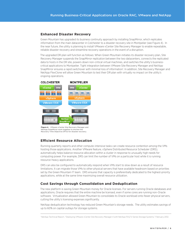#### **Enhanced Disaster Recovery**

Green Mountain has upgraded its business continuity approach by installing SnapMirror, which replicates information from the main datacenter in Colchester to a disaster recovery site in Montpelier (see Figure 4). In the near future, the utility is planning to install VMware vCenter Site Recovery Manager to enable repeatable, reliable disaster recovery and streamline recovery operations in the event of a disruption.

The upgraded DR plan will function as follows: When Green Mountain initiates its disaster recovery plan, Site Recovery Manager suspends the SnapMirror replication between the two datacenters, connects the replicated data to hosts in the DR site, powers down non-critical virtual machines, and switches the utility's businesscritical applications to Montpelier. Tight integration between VMware Site Recovery Manager and NetApp SnapMirror ensures a rapid switchover with minimal loss of information<sup>1</sup>. In addition, Site Recovery Manager and NetApp FlexClone will allow Green Mountain to test their DR plan with virtually no impact on the utility's ongoing operations.



**Figure 4.** VMware vCenter Site Recovery Manager and NetApp SnapMirror work together to shorten the Recovery Time Objective (RTO) for disaster recovery.

#### **Efficient Resource Allocation**

Running quarterly reports and other compute-intensive tasks can create resource contention among the VMs hosting those applications. Another VMware feature, vSphere Distributed Resource Scheduler (DRS), automatically helps balance resource allocation within a cluster in response to unusually high needs for computing power. For example, DRS can limit the number of VMs on a particular host while it is running resource-heavy applications.

DRS can also be configured to automatically respond when VMs start to slow down as a result of resource limitations. It can migrate those VMs to other physical servers that have available headroom based on priorities set by the Green Mountain IT team. DRS ensures that capacity is preferentially dedicated to the highest-priority applications, while at the same time maximizing overall resource utilization.

#### **Cost Savings through Consolidation and Deduplication**

The new platform is saving Green Mountain money for Oracle licenses. For servers running Oracle databases and applications, Oracle requires that the entire machine be licensed, even if some cores are running non-Oracle software. Virtualization allowed Green Mountain to consolidate its Oracle workload onto fewer physical servers, cutting the utility's licensing expenses significantly.

NetApp deduplication technology has reduced Green Mountain's storage needs. The utility estimates savings of up to 60% on capital outlays for storage systems.

<sup>1</sup> NetApp Technical Report, "Deploying VMware vCenter Site Recovery Manager 4 with NetApp FAS/V-Series Storage Systems," February 2012.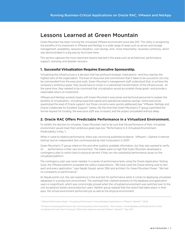## Lessons Learned at Green Mountain

Green Mountain has been running the virtualized VMware environment since late 2011. The utility is recognizing the benefits of its investment in VMware and NetApp in a wide range of areas such as server and storage management, availability, resource utilization, cost savings, and—most importantly—business continuity, which was demonstrated in a big way by Hurricane Irene.

This section captures the most important lessons learned in the areas such as architecture, performance, support, licensing, and disaster recovery

#### **1. Successful Virtualization Requires Executive Sponsorship.**

Virtualizing the infrastructure is a decision that has profound strategic implications—and thus reaches the highest tiers of the organization. The level of resources and commitment that it takes to be successful can only be commanded from the executive suite. Green Mountain's management staff understood that, to achieve the company's ambitious goals, they would have to invest in a substantial transformation of the infrastructure. At the same time, they needed to be convinced that virtualization would accomplish those goals—and provide a reasonable return on investment.

VMware and NetApp worked closely with Green Mountain's executives and technical personnel to explain the benefits of virtualization—including expected capital and operational expense savings. Some executives questioned the level of Oracle support, but those concerns were quickly addressed (see "VMware, NetApp and Oracle Collaborate for Excellent Support" below.) By the time that Green Mountain's IT group submitted the formal request for funding, the executive staff was on board, and the project proceeded without delay.

#### **2. Oracle RAC Offers Predictable Performance in a Virtualized Environment.**

To solidify the decision to virtualize, Green Mountain had to be sure that the performance of their virtualized environment would meet their ambitious goals (see box "Performance In A Virtualized Environment: Predictability Is Key.").

When it came to relative performance, there was convincing published evidence: VMware's vSphere 4 internal testing<sup>2</sup> and an independent test commissioned by Intel Corporation in 2010<sup>3</sup>.

Green Mountain's IT group relied on this and other publicly available information, but they also wanted to verify its performance in their own environment. The stakes were so high that Green Mountain developed a contingency plan to switch back to physical servers if they ran into substantial performance issues on the virtualized platform.

The contingency plan was never needed. In a series of performance tests using the Oracle Application Testing Suite, the VMware platform exceeded the utility's expectations. "We have used the Oracle testing suite to test each and every application," says Nayab Saiyad, senior DBA and architect for Green Mountain Power. "We had no complaints on performance."

As Nayab points out, the user experience is the acid test for performance when it comes to deploying virtualized databases in a production environment. The overhead that vSphere presents to the database and application users is insignificant, which was convincingly proved when the virtualized environment was switched over to the unit acceptance testers and production users. Neither group realized that the switch had taken place: in their eyes, the virtual environment performed just as well as the physical environment.

<sup>2</sup> VMware Performance Study, "Virtualizing Performance-Critical Database Applications in VMware® vSphere™," 2009.

<sup>&</sup>lt;sup>3</sup> Prowess Consulting performance test commissioned by Intel Corporation, "How mission-critical database workloads perform when virtualized with Intel® Xeon® processor 7500 series-based servers and VMware® vSphere™," May 2010.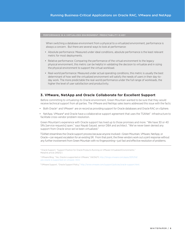#### PERFORMANCE IN A VIRTUALIZED ENVIRONMENT: PREDICTABILITY IS KEY

When switching a database environment from a physical to a virtualized environment, performance is always a concern. But there are several ways to look at performance:

- • Absolute performance: Measured under ideal conditions, absolute performance is the least relevant metric for most deployments.
- Relative performance: Comparing the performance of the virtual environment to the legacy physical environment, this metric can be helpful in validating the decision to virtualize and in sizing the physical environment to support the virtual workload.
- • Real-world performance: Measured under actual operating conditions, this metric is usually the best determinant of how well the virtualized environment will satisfy the needs of users in their day-today work. The more predictable the real-world performance under the full range of workloads, the higher the level of user satisfaction and productivity.

#### **3. VMware, NetApp and Oracle Collaborate for Excellent Support**

Before committing to virtualizing its Oracle environment, Green Mountain wanted to be sure that they would receive technical support from all parties. The VMware and NetApp sales teams addressed this issue with the facts:

- Both Oracle<sup>4</sup> and VMware<sup>5</sup> are on record as providing support for Oracle databases and Oracle RAC on vSphere.
- NetApp, VMware<sup>6</sup> and Oracle have a collaborative support agreement that uses the TSANet<sup>7</sup> infrastructure to facilitate cross-vendor problem resolution.

Green Mountain's experience with Oracle support has lived up to those promises and more. "We have 30 or 40 SRs [service requests] open," says Nayab Saiyad, senior DBA and architect. "We've never been denied any support from Oracle since we've been virtualized."

TSANet streamlines the Oracle support process because anyone involved—Green Mountain, VMware, NetApp, or Oracle—can request escalation for an existing SR. From that point, the three vendors work out a joint response without any further involvement from Green Mountain with no fingerpointing—just fast and effective resolution of problems.

4 Oracle Support, "Support Position for Oracle Products Running on VMware Virtualized Environments," Metalink article 249212.1.

5 VMware Blog, "Yes, Oracle is supported on VMware," 04/04/11, http://blogs.vmware.com/apps/2011/04/ yes-oracle-is-supported-on-vmware-.html.

6 VMware Support, "Oracle Support Policy," http://www.vmware.com/support/policies/oracle-support.html.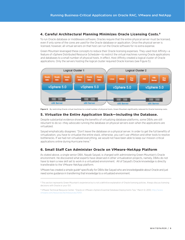### **4. Careful Architectural Planning Minimizes Oracle Licensing Costs.8**

To run Oracle database or middleware software, Oracles require that the entire physical server must be licensed, even if only some of the cores are used for the Oracle database or application. Once the physical server is licensed, however, all virtual servers on that host can run the Oracle software for no extra expense.

Green Mountain leveraged these concepts to reduce their Oracle licensing expenses. They used Host Affinity—a feature of vSphere Distributed Resource Scheduler—to restrict the virtual machines running Oracle applications and databases to a small number of physical hosts. In effect, Host Affinity created a logical cluster of Oracle applications. Only the servers hosting the logical cluster required Oracle licenses (see Figure 5).



**Figure 5.** By restricting Oracle virtual machines to a small number of physical hosts, Green Mountain significantly reduced its Oracle licensing costs.

#### **5. Virtualize the Entire Application Stack—Including the Database.**

Despite substantial evidence showing the benefits of virtualizing database platforms, some DBAs are still reluctant to do so—they advocate running the database on physical servers even when the applications are virtualized.

Saiyad emphatically disagrees: "Don't leave the database on a physical server. In order to get the full benefits of virtualization, you have to virtualize the entire stack, otherwise, you can't use vMotion and other tools to resolve bottlenecks. If we had not virtualized everything, we would not have been able to keep our mission-critical applications online during Hurricane Irene."

#### **6. Small Staff Can Administer Oracle on VMware-NetApp Platform**

As stated above, a single senior DBA, Nayab Saiyad, is charged with administering Green Mountain's Oracle environment. He discovered what experts have observed in other virtualization projects, namely, DBAs do not have to learn a new skill set to work in a virtualized environment. All of Saiyad's Oracle knowledge is directly transferable to the VMware-NetApp platform.

VMware has created a simple guide<sup>9</sup> specifically for DBAs like Saiyad who are knowledgeable about Oracle and just need some guidance in transferring that knowledge to a virtualized environment.

<sup>8</sup> This section represents Green Mountain's experience but is not a definitive explanation of Oracle licensing policies. Always discuss licensing decisions with Oracle or your ISV.

<sup>9</sup> VMware Technical Resource Center, "Oracle on VMware vSphere Essential Database Deployments Tips," March 12, 2010, http://www. vmware.com/resources/techresources/10101.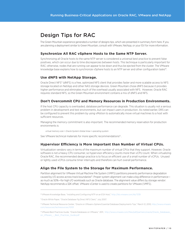## Design Tips for RAC

The Green Mountain experience generated a number of designs tips, which are presented in summary form here. If you are planning a deployment similar to Green Mountain, consult with VMware, NetApp, or your ISV for more information.

#### **Synchronize All RAC vSphere Hosts to the Same NTP Server.**

Synchronizing all Oracle hosts to the same NTP server is considered a universal best practice to prevent false positives, which can occur due to time discrepancies between hosts. This technique is particularly important for RAC; otherwise, nodes that are running can appear to be down and thus be ejected from the cluster. The VMware knowledge base explains how to synchronize vSphere hosts to an NTP server and other configuration tasks<sup>10</sup>.

#### **Use dNFS with NetApp Storage.**

Oracle Direct NFS<sup>11</sup> (dNFS) is a free, optimized NFS client that provides faster and more scalable access to NFS storage located on NetApp and other NAS storage devices. Green Mountain chose dNFS because it provides higher performance and eliminates much of the overhead usually associated with NFS. However, Oracle RAC requires standard NFS, so the Green Mountain environment contains a mix of dNFS and NFS.

#### **Don't Overcommit CPU and Memory Resources in Production Environments.**

If the host CPU capacity is overloaded, database performance can degrade. This situation is usually not a serious problem in development and test environments, but can impact users in production. As noted earlier, DRS can be configured to prevent this problem by using vMotion to automatically move virtual machines to a host with sufficient resources.

Managing the memory commitment is also important. The recommended memory reservation for production environments is:

virtual memory size = Oracle System Global Area + operating system

See VMware technical materials for more specific recommendations<sup>12</sup>.

#### **Hypervisor Efficiency is More Important than Number of Virtual CPUs.**

Virtualization vendors vary in terms of the maximum number of virtual CPUs that they support. However, Oracle software is not a heavy CPU consumer, so hypervisor efficiency counts more than vCPU count. When virtualizing Oracle RAC, the recommended design practice is to focus on efficient use of a small number of vCPUs. Unused or lightly used vCPUs consume timer interrupts and therefore can hurt overall performance.

#### **Align the File System to the Storage for Maximum Performance.**

Partition alignment for VMware Virtual Machine File System (VMFS) partitions prevents performance degradation caused by I/O access across track boundaries<sup>13</sup>. Proper system alignment can make a big difference in performance as much as 50%—for high I/O workloads such as Oracle database. The alignment value differs by storage vendor: NetApp recommends a 32K offset. VMware vCenter is used to create partitions for VMware (VMFS).

<sup>10</sup> VMware Knowledge Base, "Installing and Configuring NTP on an ESX Host," http://kb.vmware.com/kb/1339

<sup>11</sup> Oracle White Paper, "Oracle Database 11g Direct NFS Client," July 2007.

<sup>12</sup> VMware Technical Resource Center, "Oracle on VMware vSphere Essential Database Deployments Tips," March 12, 2010, http://www.vmware. com/resources/techresources/10101

<sup>&</sup>lt;sup>13</sup> VMware Best Practices Guide, "Oracle Databases on VMware," 2011, http://www.vmware.com/files/pdf/partners/oracle/Oracle\_Databases on\_VMware\_-\_Best\_Practices\_Guide.pdf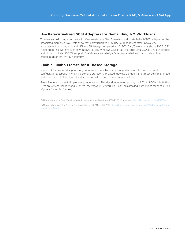#### **Use Paravirtualized SCSI Adapters for Demanding I/O Workloads**

To achieve maximum performance for Oracle database files, Green Mountain installed a PVSCSI adapter for the associated memory array. Tests show that paravirtualized SCSI (PVSCSI) adapters offer up to a 12% improvement in throughput and 18% less CPU usage compared to LSI SCSI for I/O workloads above 2000 IOPS. Major operating systems such as Windows Server, Windows 7, Red Hat Enterprise Linux, SUSE Linux Enterprise, and Ubuntu include PVSCSI support. The VMware Knowledge Base has detailed information about how to configure disks for PVSCSI adapters<sup>14</sup>.

#### **Enable Jumbo Frames for IP-based Storage**

vSphere 4.0 introduced support for jumbo frames, which can improve performance for some network configurations, especially when the storage protocol is IP-based. However, jumbo frames must be implemented end to end, in both the physical and virtual infrastructure, to avoid incompatibles.

Green Mountain chose to implement jumbo frames. This decision required setting the MTU to 9000 in both the NetApp System Manager and vSphere (the VMware Networking Blog<sup>15</sup> has detailed instructions for configuring vSphere for jumbo frames.)

14VMware Knowledge Base, "Configuring Disks to Use VMware Paravirtual SCSI (PVSCSI) Adapters," http://kb.vmware.com/kb/1010398.

15VMware Networking Blog, "Jumbo Frames in vSphere 4.0," March 28, 2010, http://blogs.vmware.com/networking/2010/03/jumbo-framesin-vsphere-40.html.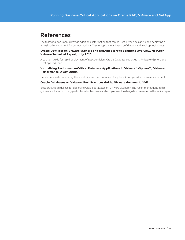## References

The following documents provide additional information that can be useful when designing and deploying a virtualized environment for business-critical Oracle applications based on VMware and NetApp technology.

#### **Oracle Dev/Test on VMware vSphere and NetApp Storage Solutions Overview, NetApp/ VMware Technical Report, July 2010.**

A solution guide for rapid deployment of space-efficient Oracle Database copies using VMware vSphere and NetApp FlexClone.

#### **Virtualizing Performance-Critical Database Applications in VMware® vSphere™, VMware Performance Study, 2009.**

Benchmark tests comparing the scalability and performance of vSphere 4 compared to native environment.

#### **Oracle Databases on VMware: Best Practices Guide, VMware document, 2011.**

Best practice guidelines for deploying Oracle databases on VMware vSphere®. The recommendations in this guide are not specific to any particular set of hardware and complement the design tips presented in this white paper.